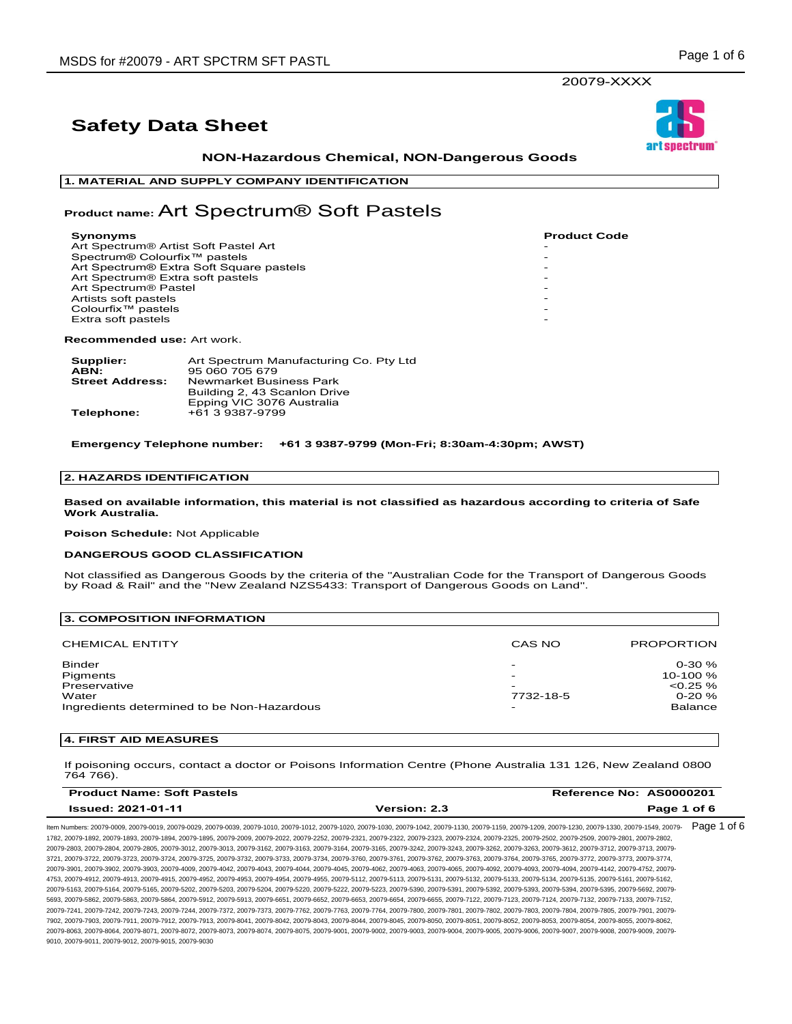**NON-Hazardous Chemical, NON-Dangerous Goods** 

**1. MATERIAL AND SUPPLY COMPANY IDENTIFICATION**

### **Product name:** Art Spectrum® Soft Pastels

| <b>Synonyms</b>                          | <b>Product</b> |
|------------------------------------------|----------------|
| Art Spectrum® Artist Soft Pastel Art     |                |
| Spectrum® Colourfix <sup>™</sup> pastels |                |
| Art Spectrum® Extra Soft Square pastels  |                |
| Art Spectrum® Extra soft pastels         |                |
| Art Spectrum <sup>®</sup> Pastel         |                |
| Artists soft pastels                     |                |
| Colourfix <sup>™</sup> pastels           |                |
| Extra soft pastels                       |                |
|                                          |                |

**Recommended use:** Art work.

| Supplier:              | Art Spectrum Manufacturing Co. Pty Ltd |
|------------------------|----------------------------------------|
| ABN:                   | 95 060 705 679                         |
| <b>Street Address:</b> | Newmarket Business Park                |
|                        | Building 2, 43 Scanlon Drive           |
|                        | Epping VIC 3076 Australia              |
| Telephone:             | +61 3 9387-9799                        |

**Emergency Telephone number: +61 3 9387-9799 (Mon-Fri; 8:30am-4:30pm; AWST)**

### **2. HAZARDS IDENTIFICATION**

**Based on available information, this material is not classified as hazardous according to criteria of Safe Work Australia.**

**Poison Schedule:** Not Applicable

### **DANGEROUS GOOD CLASSIFICATION**

Not classified as Dangerous Goods by the criteria of the "Australian Code for the Transport of Dangerous Goods by Road & Rail" and the "New Zealand NZS5433: Transport of Dangerous Goods on Land".

| 3. COMPOSITION INFORMATION                                                                |                               |                                                                         |
|-------------------------------------------------------------------------------------------|-------------------------------|-------------------------------------------------------------------------|
| <b>CHEMICAL ENTITY</b>                                                                    | CAS NO                        | <b>PROPORTION</b>                                                       |
| Binder<br>Pigments<br>Preservative<br>Water<br>Ingredients determined to be Non-Hazardous | -<br>-<br>-<br>7732-18-5<br>- | $0 - 30 \%$<br>10-100 %<br>$< 0.25 \%$<br>$0 - 20 \%$<br><b>Balance</b> |

### **4. FIRST AID MEASURES**

If poisoning occurs, contact a doctor or Poisons Information Centre (Phone Australia 131 126, New Zealand 0800 764 766).

| <b>Product Name: Soft Pastels</b>                                                                                                                                                                                              |                     | Reference No: AS0000201 |
|--------------------------------------------------------------------------------------------------------------------------------------------------------------------------------------------------------------------------------|---------------------|-------------------------|
| <b>Issued: 2021-01-11</b>                                                                                                                                                                                                      | <b>Version: 2.3</b> | Page 1 of 6             |
| n Numbers: 20079-0009, 20079-0019, 20079-0029, 20079-0039, 20079-1010, 20079-1012, 20079-1020, 20079-1030, 20079-1042, 20079-1130, 20079-1159, 20079-1230, 20079-1230, 20079-1330, 20079-1349, 20079-1230, 20079-1349, 20079-1 |                     | Page 1 of 6             |

Item Numbers: 20079-0009, 20079-0019, 20079-0029, 20079-0039, 20079-1010, 20079-1012, 20079-1020, 20079-1030, 20079-1042, 20079-1130, 20079-1159, 20079-1209, 20079-1230, 20079-1330, 20079-1549, 20079- 1782, 20079-1892, 20079-1893, 20079-1894, 20079-1895, 20079-2009, 20079-2022, 20079-2252, 20079-2321, 20079-2322, 20079-2323, 20079-2324, 20079-2325, 20079-2502, 20079-2509, 20079-2801, 20079-2802, 20079-2803, 20079-2804, 20079-2805, 20079-3012, 20079-3013, 20079-3162, 20079-3163, 20079-3164, 20079-3165, 20079-3242, 20079-3243, 20079-3262, 20079-3263, 20079-3612, 20079-3712, 20079-3713, 20079- 3721, 20079-3722, 20079-3723, 20079-3724, 20079-3725, 20079-3732, 20079-3733, 20079-3734, 20079-3760, 20079-3761, 20079-3762, 20079-3763, 20079-3764, 20079-3765, 20079-3772, 20079-3773, 20079-3774, 20079-3901, 20079-3902, 20079-3903, 20079-4009, 20079-4042, 20079-4043, 20079-4044, 20079-4045, 20079-4062, 20079-4063, 20079-4065, 20079-4092, 20079-4093, 20079-4094, 20079-4142, 20079-4752, 20079- 4753, 20079-4912, 20079-4913, 20079-4915, 20079-4952, 20079-4953, 20079-4954, 20079-4955, 20079-5112, 20079-5113, 20079-5131, 20079-5132, 20079-5133, 20079-5134, 20079-5135, 20079-5161, 20079-5162, 20079-5163, 20079-5164, 20079-5165, 20079-5202, 20079-5203, 20079-5204, 20079-5220, 20079-5222, 20079-5223, 20079-5390, 20079-5391, 20079-5392, 20079-5393, 20079-5394, 20079-5395, 20079-5692, 20079- 5693, 20079-5862, 20079-5863, 20079-5864, 20079-5912, 20079-5913, 20079-6651, 20079-6652, 20079-6653, 20079-6654, 20079-6655, 20079-7122, 20079-7123, 20079-7124, 20079-7132, 20079-7133, 20079-7152, 20079-7241, 20079-7242, 20079-7243, 20079-7244, 20079-7372, 20079-7373, 20079-7762, 20079-7763, 20079-7764, 20079-7800, 20079-7801, 20079-7802, 20079-7803, 20079-7804, 20079-7805, 20079-7901, 20079- 7902, 20079-7903, 20079-7911, 20079-7912, 20079-7913, 20079-8041, 20079-8042, 20079-8043, 20079-8044, 20079-8045, 20079-8050, 20079-8051, 20079-8052, 20079-8053, 20079-8054, 20079-8055, 20079-8062, 20079-8063, 20079-8064, 20079-8071, 20079-8072, 20079-8073, 20079-8074, 20079-8075, 20079-9001, 20079-9002, 20079-9003, 20079-9004, 20079-9005, 20079-9006, 20079-9007, 20079-9008, 20079-9009, 20079- 9010, 20079-9011, 20079-9012, 20079-9015, 20079-9030



Code

20079-XXXX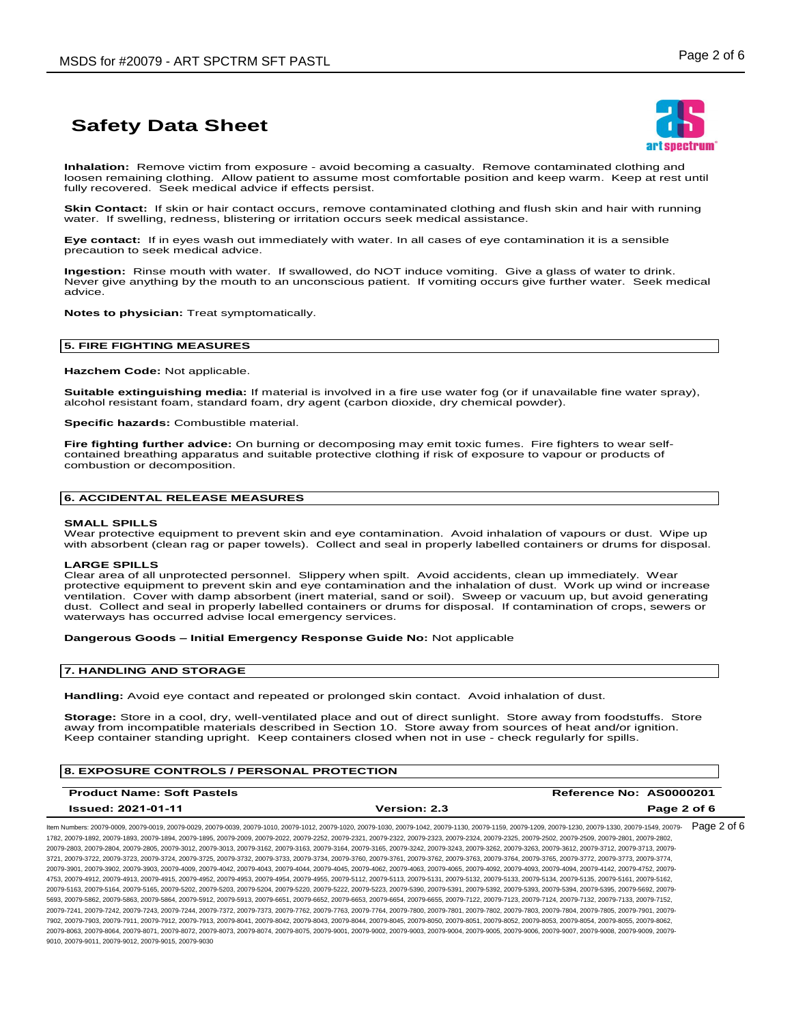

**Inhalation:** Remove victim from exposure - avoid becoming a casualty. Remove contaminated clothing and loosen remaining clothing. Allow patient to assume most comfortable position and keep warm. Keep at rest until fully recovered. Seek medical advice if effects persist.

**Skin Contact:** If skin or hair contact occurs, remove contaminated clothing and flush skin and hair with running water. If swelling, redness, blistering or irritation occurs seek medical assistance.

**Eye contact:** If in eyes wash out immediately with water. In all cases of eye contamination it is a sensible precaution to seek medical advice.

**Ingestion:** Rinse mouth with water. If swallowed, do NOT induce vomiting. Give a glass of water to drink. Never give anything by the mouth to an unconscious patient. If vomiting occurs give further water. Seek medical advice.

**Notes to physician:** Treat symptomatically.

#### **5. FIRE FIGHTING MEASURES**

**Hazchem Code:** Not applicable.

**Suitable extinguishing media:** If material is involved in a fire use water fog (or if unavailable fine water spray), alcohol resistant foam, standard foam, dry agent (carbon dioxide, dry chemical powder).

**Specific hazards:** Combustible material.

**Fire fighting further advice:** On burning or decomposing may emit toxic fumes. Fire fighters to wear selfcontained breathing apparatus and suitable protective clothing if risk of exposure to vapour or products of combustion or decomposition.

#### **6. ACCIDENTAL RELEASE MEASURES**

#### **SMALL SPILLS**

Wear protective equipment to prevent skin and eye contamination. Avoid inhalation of vapours or dust. Wipe up with absorbent (clean rag or paper towels). Collect and seal in properly labelled containers or drums for disposal.

#### **LARGE SPILLS**

Clear area of all unprotected personnel. Slippery when spilt. Avoid accidents, clean up immediately. Wear protective equipment to prevent skin and eye contamination and the inhalation of dust. Work up wind or increase ventilation. Cover with damp absorbent (inert material, sand or soil). Sweep or vacuum up, but avoid generating dust. Collect and seal in properly labelled containers or drums for disposal. If contamination of crops, sewers or waterways has occurred advise local emergency services.

#### **Dangerous Goods – Initial Emergency Response Guide No:** Not applicable

#### **7. HANDLING AND STORAGE**

**Handling:** Avoid eye contact and repeated or prolonged skin contact. Avoid inhalation of dust.

**Storage:** Store in a cool, dry, well-ventilated place and out of direct sunlight. Store away from foodstuffs. Store away from incompatible materials described in Section 10. Store away from sources of heat and/or ignition. Keep container standing upright. Keep containers closed when not in use - check regularly for spills.

#### **8. EXPOSURE CONTROLS / PERSONAL PROTECTION**

| <b>Product Name: Soft Pastels</b> |                     | Reference No: AS0000201 |
|-----------------------------------|---------------------|-------------------------|
| <b>Issued: 2021-01-11</b>         | <b>Version: 2.3</b> | Page 2 of 6             |
|                                   |                     | $D - - - - -$           |

ltem Numbers: 20079-0009, 20079-0019, 20079-0029, 20079-0039, 20079-1010, 20079-1012, 20079-1020, 20079-1030, 20079-1130, 20079-1130, 20079-1209, 20079-1230, 20079-1230, 20079-1330, 20079-1549, 20079-1 1782, 20079-1892, 20079-1893, 20079-1894, 20079-1895, 20079-2009, 20079-2022, 20079-2252, 20079-2321, 20079-2322, 20079-2323, 20079-2324, 20079-2325, 20079-2502, 20079-2509, 20079-2801, 20079-2802, 20079-2803, 20079-2804, 20079-2805, 20079-3012, 20079-3013, 20079-3162, 20079-3163, 20079-3164, 20079-3165, 20079-3242, 20079-3243, 20079-3262, 20079-3263, 20079-3612, 20079-3712, 20079-3713, 20079- 3721, 20079-3722, 20079-3723, 20079-3724, 20079-3725, 20079-3732, 20079-3733, 20079-3734, 20079-3760, 20079-3761, 20079-3762, 20079-3763, 20079-3764, 20079-3765, 20079-3772, 20079-3773, 20079-3774, 20079-3901, 20079-3902, 20079-3903, 20079-4009, 20079-4042, 20079-4043, 20079-4044, 20079-4045, 20079-4062, 20079-4063, 20079-4065, 20079-4092, 20079-4093, 20079-4094, 20079-4142, 20079-4752, 20079- 4753, 20079-4912, 20079-4913, 20079-4915, 20079-4952, 20079-4953, 20079-4954, 20079-4955, 20079-5112, 20079-5113, 20079-5131, 20079-5132, 20079-5133, 20079-5134, 20079-5135, 20079-5161, 20079-5162, 20079-5163, 20079-5164, 20079-5165, 20079-5202, 20079-5203, 20079-5204, 20079-5220, 20079-5222, 20079-5223, 20079-5390, 20079-5391, 20079-5392, 20079-5393, 20079-5394, 20079-5395, 20079-5692, 20079- 5693, 20079-5862, 20079-5863, 20079-5864, 20079-5912, 20079-5913, 20079-6651, 20079-6652, 20079-6653, 20079-6654, 20079-6655, 20079-7122, 20079-7123, 20079-7124, 20079-7132, 20079-7133, 20079-7152, 20079-7241, 20079-7242, 20079-7243, 20079-7244, 20079-7372, 20079-7373, 20079-7762, 20079-7763, 20079-7764, 20079-7800, 20079-7801, 20079-7802, 20079-7803, 20079-7804, 20079-7805, 20079-7901, 20079- 7902, 20079-7903, 20079-7911, 20079-7912, 20079-7913, 20079-8041, 20079-8042, 20079-8043, 20079-8044, 20079-8045, 20079-8050, 20079-8051, 20079-8052, 20079-8053, 20079-8054, 20079-8055, 20079-8062, 20079-8063, 20079-8064, 20079-8071, 20079-8072, 20079-8073, 20079-8074, 20079-8075, 20079-9001, 20079-9002, 20079-9003, 20079-9004, 20079-9005, 20079-9006, 20079-9007, 20079-9008, 20079-9009, 20079- 9010, 20079-9011, 20079-9012, 20079-9015, 20079-9030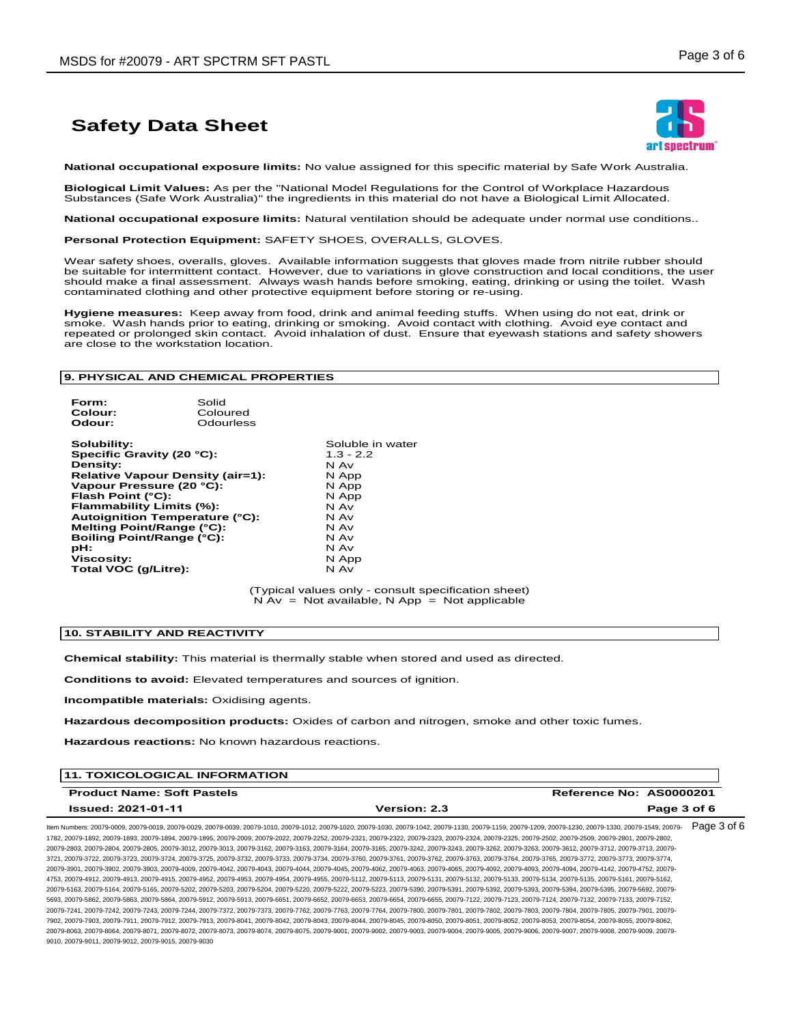

**National occupational exposure limits:** No value assigned for this specific material by Safe Work Australia.

**Biological Limit Values:** As per the "National Model Regulations for the Control of Workplace Hazardous Substances (Safe Work Australia)" the ingredients in this material do not have a Biological Limit Allocated.

**National occupational exposure limits:** Natural ventilation should be adequate under normal use conditions..

**Personal Protection Equipment:** SAFETY SHOES, OVERALLS, GLOVES.

Wear safety shoes, overalls, gloves. Available information suggests that gloves made from nitrile rubber should<br>be suitable for intermittent contact. However, due to variations in glove construction and local conditions, should make a final assessment. Always wash hands before smoking, eating, drinking or using the toilet. Wash contaminated clothing and other protective equipment before storing or re-using.

**Hygiene measures:** Keep away from food, drink and animal feeding stuffs. When using do not eat, drink or smoke. Wash hands prior to eating, drinking or smoking. Avoid contact with clothing. Avoid eye contact and repeated or prolonged skin contact. Avoid inhalation of dust. Ensure that eyewash stations and safety showers are close to the workstation location.

#### **9. PHYSICAL AND CHEMICAL PROPERTIES**

**Form:** Solid **Colour:** Coloured **Odour:** Odourless

**Solubility:**<br> **Soluble in water**<br> **Specific Gravity (20 °C):**<br> **Soluble 1.3 - 2.2**<br> **Soluble 1.3 - 2.2 Specific Gravity (20 °C):** 1.3 -<br>**Density:** N Av **Density:** N Av **Relative Vapour Density (air=1):** N App **Vapour Pressure (20 °C):** N App **Flash Point (°C):**  $\overrightarrow{A}$  N Apple **11 Apple 11 Apple 11 Apple 11 Apple 11 Apple 11 Apple 11 Apple 11 Apple 11 Apple 11 Apple 11 Apple 11 Apple 11 Apple 11 Apple 11 Apple 11 Apple 11 Apple 11 Apple 11 Apple 11 Apple 11 A Flammability Limits (%):** N Av **Autoignition Temperature (°C):** N Av **Melting Point/Range (°C):** N Av **Boiling Point/Range (°C):** N Av **pH:** N Av **Viscosity:** NAPP **The Viscosity:** N App<br> **Total VOC (g/Litre):** N Av N Av

(Typical values only - consult specification sheet)  $N Av = Not available, N App = Not applicable$ 

#### **10. STABILITY AND REACTIVITY**

**Chemical stability:** This material is thermally stable when stored and used as directed.

**Conditions to avoid:** Elevated temperatures and sources of ignition.

**Incompatible materials:** Oxidising agents.

**Hazardous decomposition products:** Oxides of carbon and nitrogen, smoke and other toxic fumes.

**Hazardous reactions:** No known hazardous reactions.

| <b>11. TOXICOLOGICAL INFORMATION</b> |                     |                         |
|--------------------------------------|---------------------|-------------------------|
| <b>Product Name: Soft Pastels</b>    |                     | Reference No: AS0000201 |
| Issued: 2021-01-11                   | <b>Version: 2.3</b> | Page 3 of 6             |
|                                      |                     |                         |

ltem Numbers: 20079-0009, 20079-0019, 20079-0029, 20079-0039, 20079-1010, 20079-1012, 20079-1020, 20079-1030, 20079-1130, 20079-1130, 20079-1209, 20079-1230, 20079-1230, 20079-1330, 20079-1549, 20079-1 1782, 20079-1892, 20079-1893, 20079-1894, 20079-1895, 20079-2009, 20079-2022, 20079-2252, 20079-2321, 20079-2322, 20079-2323, 20079-2324, 20079-2325, 20079-2502, 20079-2509, 20079-2801, 20079-2802, 20079-2803, 20079-2804, 20079-2805, 20079-3012, 20079-3013, 20079-3162, 20079-3163, 20079-3164, 20079-3165, 20079-3242, 20079-3243, 20079-3262, 20079-3263, 20079-3612, 20079-3712, 20079-3713, 20079- 3721, 20079-3722, 20079-3723, 20079-3724, 20079-3725, 20079-3732, 20079-3733, 20079-3734, 20079-3760, 20079-3761, 20079-3762, 20079-3763, 20079-3764, 20079-3765, 20079-3772, 20079-3773, 20079-3774, 20079-3901, 20079-3902, 20079-3903, 20079-4009, 20079-4042, 20079-4043, 20079-4044, 20079-4045, 20079-4062, 20079-4063, 20079-4065, 20079-4092, 20079-4093, 20079-4094, 20079-4142, 20079-4752, 20079- 4753, 20079-4912, 20079-4913, 20079-4915, 20079-4952, 20079-4953, 20079-4954, 20079-4955, 20079-5112, 20079-5113, 20079-5131, 20079-5132, 20079-5133, 20079-5134, 20079-5135, 20079-5161, 20079-5162, 20079-5163, 20079-5164, 20079-5165, 20079-5202, 20079-5203, 20079-5204, 20079-5220, 20079-5222, 20079-5223, 20079-5390, 20079-5391, 20079-5392, 20079-5393, 20079-5394, 20079-5395, 20079-5692, 20079- 5693, 20079-5862, 20079-5863, 20079-5864, 20079-5912, 20079-5913, 20079-6651, 20079-6652, 20079-6653, 20079-6654, 20079-6655, 20079-7122, 20079-7123, 20079-7124, 20079-7132, 20079-7133, 20079-7152, 20079-7241, 20079-7242, 20079-7243, 20079-7244, 20079-7372, 20079-7373, 20079-7762, 20079-7763, 20079-7764, 20079-7800, 20079-7801, 20079-7802, 20079-7803, 20079-7804, 20079-7805, 20079-7901, 20079- 7902, 20079-7903, 20079-7911, 20079-7912, 20079-7913, 20079-8041, 20079-8042, 20079-8043, 20079-8044, 20079-8045, 20079-8050, 20079-8051, 20079-8052, 20079-8053, 20079-8054, 20079-8055, 20079-8062, 20079-8063, 20079-8064, 20079-8071, 20079-8072, 20079-8073, 20079-8074, 20079-8075, 20079-9001, 20079-9002, 20079-9003, 20079-9004, 20079-9005, 20079-9006, 20079-9007, 20079-9008, 20079-9009, 20079- 9010, 20079-9011, 20079-9012, 20079-9015, 20079-9030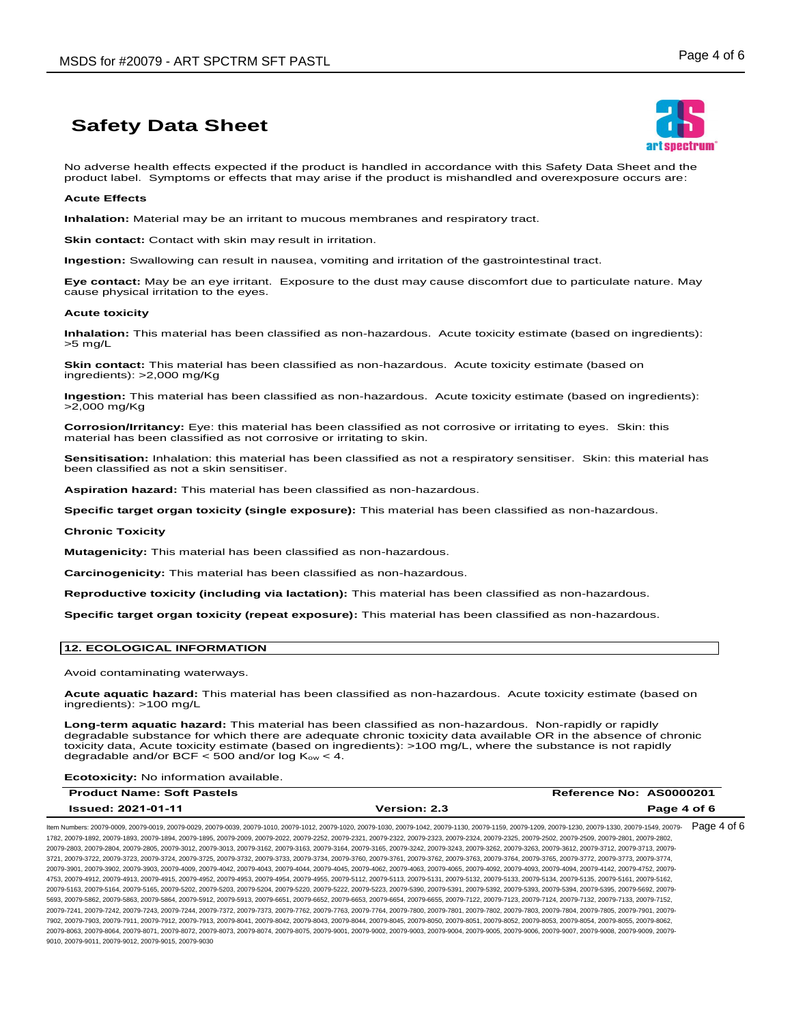

No adverse health effects expected if the product is handled in accordance with this Safety Data Sheet and the product label. Symptoms or effects that may arise if the product is mishandled and overexposure occurs are:

#### **Acute Effects**

**Inhalation:** Material may be an irritant to mucous membranes and respiratory tract.

**Skin contact:** Contact with skin may result in irritation.

**Ingestion:** Swallowing can result in nausea, vomiting and irritation of the gastrointestinal tract.

**Eye contact:** May be an eye irritant. Exposure to the dust may cause discomfort due to particulate nature. May cause physical irritation to the eyes.

#### **Acute toxicity**

**Inhalation:** This material has been classified as non-hazardous. Acute toxicity estimate (based on ingredients): >5 mg/L

**Skin contact:** This material has been classified as non-hazardous. Acute toxicity estimate (based on ingredients): >2,000 mg/Kg

**Ingestion:** This material has been classified as non-hazardous. Acute toxicity estimate (based on ingredients): >2,000 mg/Kg

**Corrosion/Irritancy:** Eye: this material has been classified as not corrosive or irritating to eyes. Skin: this material has been classified as not corrosive or irritating to skin.

**Sensitisation:** Inhalation: this material has been classified as not a respiratory sensitiser. Skin: this material has been classified as not a skin sensitiser.

**Aspiration hazard:** This material has been classified as non-hazardous.

**Specific target organ toxicity (single exposure):** This material has been classified as non-hazardous.

#### **Chronic Toxicity**

**Mutagenicity:** This material has been classified as non-hazardous.

**Carcinogenicity:** This material has been classified as non-hazardous.

**Reproductive toxicity (including via lactation):** This material has been classified as non-hazardous.

**Specific target organ toxicity (repeat exposure):** This material has been classified as non-hazardous.

#### **12. ECOLOGICAL INFORMATION**

Avoid contaminating waterways.

**Acute aquatic hazard:** This material has been classified as non-hazardous. Acute toxicity estimate (based on ingredients): >100 mg/L

**Long-term aquatic hazard:** This material has been classified as non-hazardous. Non-rapidly or rapidly degradable substance for which there are adequate chronic toxicity data available OR in the absence of chronic toxicity data, Acute toxicity estimate (based on ingredients): >100 mg/L, where the substance is not rapidly degradable and/or BCF  $<$  500 and/or log  $K_{ow}$   $<$  4.

**Ecotoxicity:** No information available.

| <b>Product Name: Soft Pastels</b> |                     | Reference No: AS0000201 |
|-----------------------------------|---------------------|-------------------------|
| <b>Issued: 2021-01-11</b>         | <b>Version: 2.3</b> | Page 4 of 6             |

ltem Numbers: 20079-0009, 20079-0019, 20079-0029, 20079-0039, 20079-1010, 20079-1012, 20079-1020, 20079-1030, 20079-1130, 20079-1130, 20079-1209, 20079-1230, 20079-1230, 20079-1330, 20079-1549, 20079-1649, 20079-1230, 2007 1782, 20079-1892, 20079-1893, 20079-1894, 20079-1895, 20079-2009, 20079-2022, 20079-2252, 20079-2321, 20079-2322, 20079-2323, 20079-2324, 20079-2325, 20079-2502, 20079-2509, 20079-2801, 20079-2802, 20079-2803, 20079-2804, 20079-2805, 20079-3012, 20079-3013, 20079-3162, 20079-3163, 20079-3164, 20079-3165, 20079-3242, 20079-3243, 20079-3262, 20079-3263, 20079-3612, 20079-3712, 20079-3713, 20079- 3721, 20079-3722, 20079-3723, 20079-3724, 20079-3725, 20079-3732, 20079-3733, 20079-3734, 20079-3760, 20079-3761, 20079-3762, 20079-3763, 20079-3764, 20079-3765, 20079-3772, 20079-3773, 20079-3774, 20079-3901, 20079-3902, 20079-3903, 20079-4009, 20079-4042, 20079-4043, 20079-4044, 20079-4045, 20079-4062, 20079-4063, 20079-4065, 20079-4092, 20079-4093, 20079-4094, 20079-4142, 20079-4752, 20079- 4753, 20079-4912, 20079-4913, 20079-4915, 20079-4952, 20079-4953, 20079-4954, 20079-4955, 20079-5112, 20079-5113, 20079-5131, 20079-5132, 20079-5133, 20079-5134, 20079-5135, 20079-5161, 20079-5162, 20079-5163, 20079-5164, 20079-5165, 20079-5202, 20079-5203, 20079-5204, 20079-5220, 20079-5222, 20079-5223, 20079-5390, 20079-5391, 20079-5392, 20079-5393, 20079-5394, 20079-5395, 20079-5692, 20079- 5693, 20079-5862, 20079-5863, 20079-5864, 20079-5912, 20079-5913, 20079-6651, 20079-6652, 20079-6653, 20079-6654, 20079-6655, 20079-7122, 20079-7123, 20079-7124, 20079-7132, 20079-7133, 20079-7152, 20079-7241, 20079-7242, 20079-7243, 20079-7244, 20079-7372, 20079-7373, 20079-7762, 20079-7763, 20079-7764, 20079-7800, 20079-7801, 20079-7802, 20079-7803, 20079-7804, 20079-7805, 20079-7901, 20079- 7902, 20079-7903, 20079-7911, 20079-7912, 20079-7913, 20079-8041, 20079-8042, 20079-8043, 20079-8044, 20079-8045, 20079-8050, 20079-8051, 20079-8052, 20079-8053, 20079-8054, 20079-8055, 20079-8062, 20079-8063, 20079-8064, 20079-8071, 20079-8072, 20079-8073, 20079-8074, 20079-8075, 20079-9001, 20079-9002, 20079-9003, 20079-9004, 20079-9005, 20079-9006, 20079-9007, 20079-9008, 20079-9009, 20079- 9010, 20079-9011, 20079-9012, 20079-9015, 20079-9030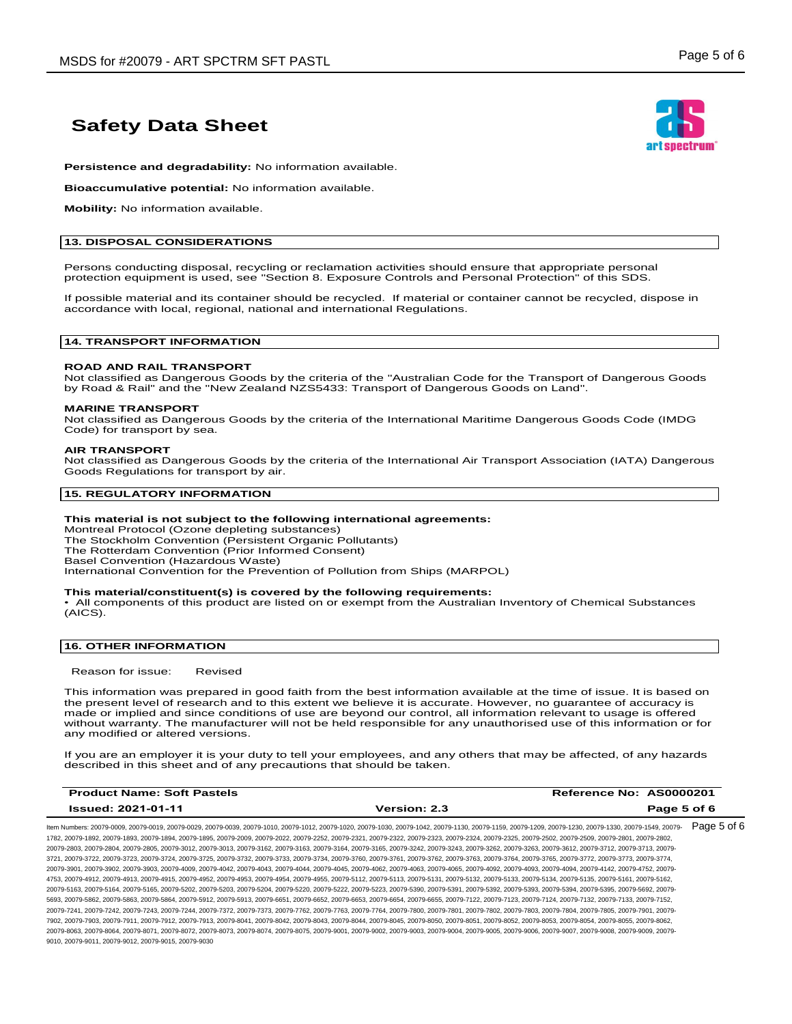

**Persistence and degradability:** No information available.

**Bioaccumulative potential:** No information available.

**Mobility:** No information available.

#### **13. DISPOSAL CONSIDERATIONS**

Persons conducting disposal, recycling or reclamation activities should ensure that appropriate personal protection equipment is used, see "Section 8. Exposure Controls and Personal Protection" of this SDS.

If possible material and its container should be recycled. If material or container cannot be recycled, dispose in accordance with local, regional, national and international Regulations.

#### **14. TRANSPORT INFORMATION**

#### **ROAD AND RAIL TRANSPORT**

Not classified as Dangerous Goods by the criteria of the "Australian Code for the Transport of Dangerous Goods by Road & Rail" and the "New Zealand NZS5433: Transport of Dangerous Goods on Land".

#### **MARINE TRANSPORT**

Not classified as Dangerous Goods by the criteria of the International Maritime Dangerous Goods Code (IMDG Code) for transport by sea.

#### **AIR TRANSPORT**

Not classified as Dangerous Goods by the criteria of the International Air Transport Association (IATA) Dangerous Goods Regulations for transport by air.

#### **15. REGULATORY INFORMATION**

#### **This material is not subject to the following international agreements:**

Montreal Protocol (Ozone depleting substances)

The Stockholm Convention (Persistent Organic Pollutants) The Rotterdam Convention (Prior Informed Consent)

Basel Convention (Hazardous Waste)

International Convention for the Prevention of Pollution from Ships (MARPOL)

#### **This material/constituent(s) is covered by the following requirements:**

• All components of this product are listed on or exempt from the Australian Inventory of Chemical Substances (AICS).

#### **16. OTHER INFORMATION**

Reason for issue: Revised

This information was prepared in good faith from the best information available at the time of issue. It is based on the present level of research and to this extent we believe it is accurate. However, no guarantee of accuracy is made or implied and since conditions of use are beyond our control, all information relevant to usage is offered without warranty. The manufacturer will not be held responsible for any unauthorised use of this information or for any modified or altered versions.

If you are an employer it is your duty to tell your employees, and any others that may be affected, of any hazards described in this sheet and of any precautions that should be taken.

| <b>Product Name: Soft Pastels</b> |                     | Reference No: AS0000201 |
|-----------------------------------|---------------------|-------------------------|
| <b>Issued: 2021-01-11</b>         | <b>Version: 2.3</b> | Page 5 of 6             |
|                                   |                     |                         |

ltem Numbers: 20079-0009, 20079-0019, 20079-0029, 20079-0039, 20079-1010, 20079-1012, 20079-1020, 20079-1030, 20079-1130, 20079-1130, 20079-1209, 20079-1230, 20079-1230, 20079-1330, 20079-1549, 20079-1649, 20079-1230, 2007 1782, 20079-1892, 20079-1893, 20079-1894, 20079-1895, 20079-2009, 20079-2022, 20079-2252, 20079-2321, 20079-2322, 20079-2323, 20079-2324, 20079-2325, 20079-2502, 20079-2509, 20079-2801, 20079-2802, 20079-2803, 20079-2804, 20079-2805, 20079-3012, 20079-3013, 20079-3162, 20079-3163, 20079-3164, 20079-3165, 20079-3242, 20079-3243, 20079-3262, 20079-3263, 20079-3612, 20079-3712, 20079-3713, 20079- 3721, 20079-3722, 20079-3723, 20079-3724, 20079-3725, 20079-3732, 20079-3733, 20079-3734, 20079-3760, 20079-3761, 20079-3762, 20079-3763, 20079-3764, 20079-3765, 20079-3772, 20079-3773, 20079-3774, 20079-3901, 20079-3902, 20079-3903, 20079-4009, 20079-4042, 20079-4043, 20079-4044, 20079-4045, 20079-4062, 20079-4063, 20079-4065, 20079-4092, 20079-4093, 20079-4094, 20079-4142, 20079-4752, 20079- 4753, 20079-4912, 20079-4913, 20079-4915, 20079-4952, 20079-4953, 20079-4954, 20079-4955, 20079-5112, 20079-5113, 20079-5131, 20079-5132, 20079-5133, 20079-5134, 20079-5135, 20079-5161, 20079-5162, 20079-5163, 20079-5164, 20079-5165, 20079-5202, 20079-5203, 20079-5204, 20079-5220, 20079-5222, 20079-5223, 20079-5390, 20079-5391, 20079-5392, 20079-5393, 20079-5394, 20079-5395, 20079-5692, 20079- 5693, 20079-5862, 20079-5863, 20079-5864, 20079-5912, 20079-5913, 20079-6651, 20079-6652, 20079-6653, 20079-6654, 20079-6655, 20079-7122, 20079-7123, 20079-7124, 20079-7132, 20079-7133, 20079-7152, 20079-7241, 20079-7242, 20079-7243, 20079-7244, 20079-7372, 20079-7373, 20079-7762, 20079-7763, 20079-7764, 20079-7800, 20079-7801, 20079-7802, 20079-7803, 20079-7804, 20079-7805, 20079-7901, 20079- 7902, 20079-7903, 20079-7911, 20079-7912, 20079-7913, 20079-8041, 20079-8042, 20079-8043, 20079-8044, 20079-8045, 20079-8050, 20079-8051, 20079-8052, 20079-8053, 20079-8054, 20079-8055, 20079-8062, 20079-8063, 20079-8064, 20079-8071, 20079-8072, 20079-8073, 20079-8074, 20079-8075, 20079-9001, 20079-9002, 20079-9003, 20079-9004, 20079-9005, 20079-9006, 20079-9007, 20079-9008, 20079-9009, 20079- 9010, 20079-9011, 20079-9012, 20079-9015, 20079-9030